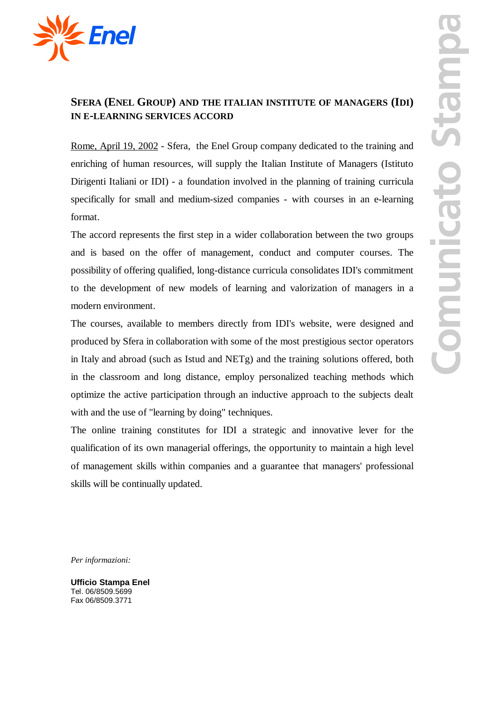

## **SFERA (ENEL GROUP) AND THE ITALIAN INSTITUTE OF MANAGERS (IDI) IN E-LEARNING SERVICES ACCORD**

Rome, April 19, 2002 - Sfera,the Enel Group company dedicated to the training and enriching of human resources, will supply the Italian Institute of Managers (Istituto Dirigenti Italiani or IDI) - a foundation involved in the planning of training curricula specifically for small and medium-sized companies - with courses in an e-learning format.

The accord represents the first step in a wider collaboration between the two groups and is based on the offer of management, conduct and computer courses. The possibility of offering qualified, long-distance curricula consolidates IDI's commitment to the development of new models of learning and valorization of managers in a modern environment.

The courses, available to members directly from IDI's website, were designed and produced by Sfera in collaboration with some of the most prestigious sector operators in Italy and abroad (such as Istud and NETg) and the training solutions offered, both in the classroom and long distance, employ personalized teaching methods which optimize the active participation through an inductive approach to the subjects dealt with and the use of "learning by doing" techniques.

The online training constitutes for IDI a strategic and innovative lever for the qualification of its own managerial offerings, the opportunity to maintain a high level of management skills within companies and a guarantee that managers' professional skills will be continually updated.

*Per informazioni:*

**Ufficio Stampa Enel** Tel. 06/8509.5699 Fax 06/8509.3771